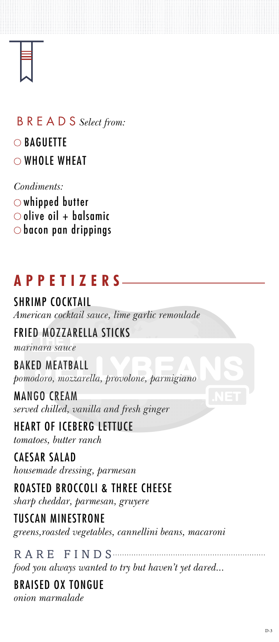#### SHRIMP COCKTAIL

*American cocktail sauce, lime garlic remoulade*

# FRIED MOZZARELLA STICKS

*marinara sauce*

#### BAKED MEATBALL

*pomodoro, mozzarella, provolone, parmigiano*

MANGO CREAM

*served chilled, vanilla and fresh ginger*

### HEART OF ICEBERG LETTUCE

*tomatoes, butter ranch*

#### CAESAR SALAD

*housemade dressing, parmesan*

## ROASTED BROCCOLI & THREE CHEESE

*sharp cheddar, parmesan, gruyere*

#### TUSCAN MINESTRONE

*greens,roasted vegetables, cannellini beans, macaroni*

#### RARE FINDS

*food you always wanted to try but haven't yet dared...*

#### BRAISED OX TONGUE

*onion marmalade*

# **APPETIZERS**

BREADS *Select from:* ○ BAGUETTE WHOLE WHEAT

#### *Condiments:*

 $\circlearrowright$  whipped butter  $\circ$  olive oil + balsamic  $\circlearrowright$  bacon pan drippings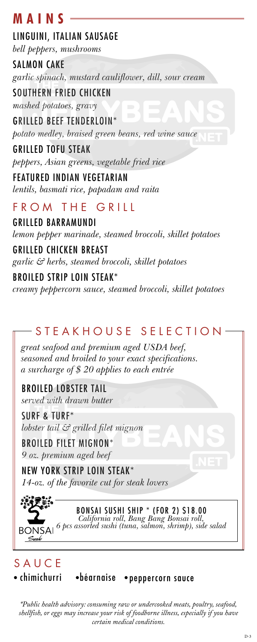# **M A I N S**

#### LINGUINI, ITALIAN SAUSAGE

*bell peppers, mushrooms*

SALMON CAKE

*garlic spinach, mustard cauliflower, dill, sour cream*

#### SOUTHERN FRIED CHICKEN

*mashed potatoes, gravy*

### GRILLED BEEF TENDERLOIN\*

*potato medley, braised green beans, red wine sauce*

#### GRILLED TOFU STEAK

*peppers, Asian greens, vegetable fried rice*

#### FEATURED INDIAN VEGETARIAN

*lentils, basmati rice, papadam and raita*

# FROM THE GRILL

#### GRILLED BARRAMUNDI

*lemon pepper marinade, steamed broccoli, skillet potatoes* 

#### GRILLED CHICKEN BREAST

*garlic & herbs, steamed broccoli, skillet potatoes*

#### BROILED STRIP LOIN STEAK\*

*creamy peppercorn sauce, steamed broccoli, skillet potatoes*

#### STEAKHOUSE SELECTION

*\*Public health advisory: consuming raw or undercooked meats, poultry, seafood, shellfish, or eggs may increase your risk of foodborne illness, especially if you have certain medical conditions.*

*great seafood and premium aged USDA beef, seasoned and broiled to your exact specifications. a surcharge of \$ 20 applies to each entrée*

BROILED LOBSTER TAIL *served with drawn butter*

SURF & TURF\* *lobster tail & grilled filet mignon*

BROILED FILET MIGNON\* *9 oz. premium aged beef*

NEW YORK STRIP LOIN STEAK\* *14-oz. of the favorite cut for steak lovers*



# SAU C E

· chimichurri · · béarnaise · peppercorn sauce

#### BONSAI SUSHI SHIP \* (FOR 2) \$18.00 *California roll, Bang Bang Bonsai roll, 6 pcs assorted sushi (tuna, salmon, shrimp), side salad*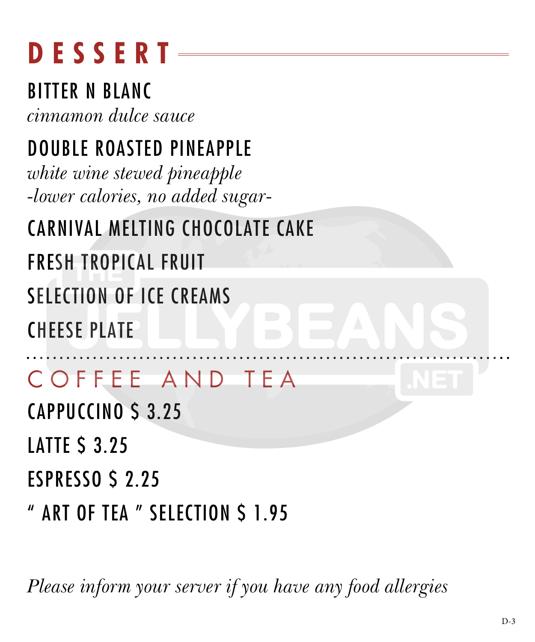# **DESSERT**

BITTER N BLANC

*cinnamon dulce sauce*

### DOUBLE ROASTED PINEAPPLE

*white wine stewed pineapple -lower calories, no added sugar-*

CARNIVAL MELTING CHOCOLATE CAKE

FRESH TROPICAL FRUIT

SELECTION OF ICE CREAMS

CHEESE PLATE

## COFFEE AND TEA

CAPPUCCINO \$ 3.25

**LATTE \$ 3.25** 

ESPRESSO \$ 2.25

" ART OF TEA " SELECTION \$ 1.95

*Please inform your server if you have any food allergies*